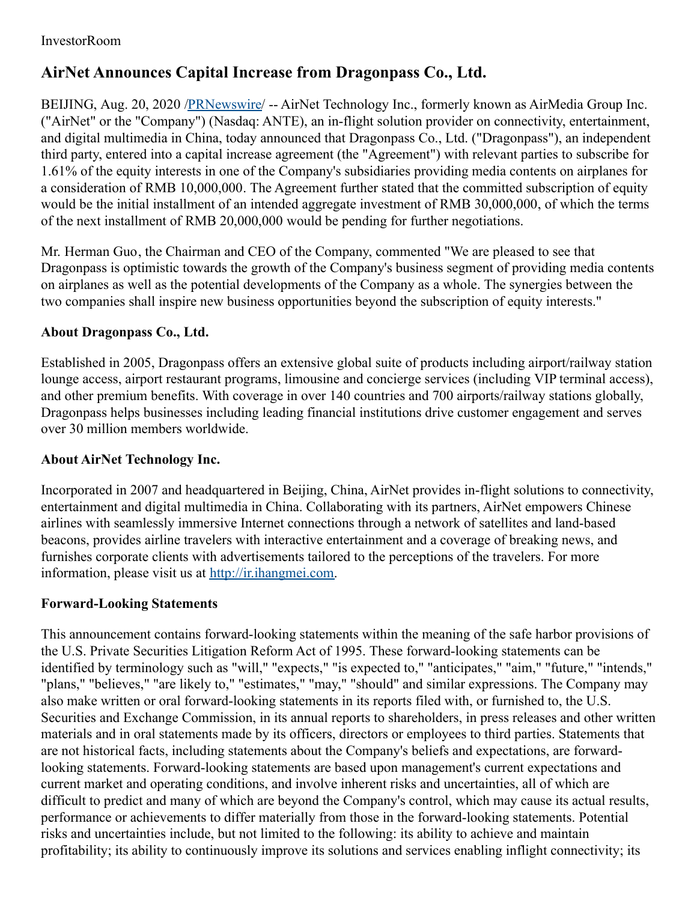## **AirNet Announces Capital Increase from Dragonpass Co., Ltd.**

BEIJING, Aug. 20, 2020 [/PRNewswire](http://www.prnewswire.com/)/ -- AirNet Technology Inc., formerly known as AirMedia Group Inc. ("AirNet" or the "Company") (Nasdaq: ANTE), an in-flight solution provider on connectivity, entertainment, and digital multimedia in China, today announced that Dragonpass Co., Ltd. ("Dragonpass"), an independent third party, entered into a capital increase agreement (the "Agreement") with relevant parties to subscribe for 1.61% of the equity interests in one of the Company's subsidiaries providing media contents on airplanes for a consideration of RMB 10,000,000. The Agreement further stated that the committed subscription of equity would be the initial installment of an intended aggregate investment of RMB 30,000,000, of which the terms of the next installment of RMB 20,000,000 would be pending for further negotiations.

Mr. Herman Guo, the Chairman and CEO of the Company, commented "We are pleased to see that Dragonpass is optimistic towards the growth of the Company's business segment of providing media contents on airplanes as well as the potential developments of the Company as a whole. The synergies between the two companies shall inspire new business opportunities beyond the subscription of equity interests."

## **About Dragonpass Co., Ltd.**

Established in 2005, Dragonpass offers an extensive global suite of products including airport/railway station lounge access, airport restaurant programs, limousine and concierge services (including VIP terminal access), and other premium benefits. With coverage in over 140 countries and 700 airports/railway stations globally, Dragonpass helps businesses including leading financial institutions drive customer engagement and serves over 30 million members worldwide.

## **About AirNet Technology Inc.**

Incorporated in 2007 and headquartered in Beijing, China, AirNet provides in-flight solutions to connectivity, entertainment and digital multimedia in China. Collaborating with its partners, AirNet empowers Chinese airlines with seamlessly immersive Internet connections through a network of satellites and land-based beacons, provides airline travelers with interactive entertainment and a coverage of breaking news, and furnishes corporate clients with advertisements tailored to the perceptions of the travelers. For more information, please visit us at [http://ir.ihangmei.com](http://ir.ihangmei.com/).

## **Forward-Looking Statements**

This announcement contains forward-looking statements within the meaning of the safe harbor provisions of the U.S. Private Securities Litigation Reform Act of 1995. These forward-looking statements can be identified by terminology such as "will," "expects," "is expected to," "anticipates," "aim," "future," "intends," "plans," "believes," "are likely to," "estimates," "may," "should" and similar expressions. The Company may also make written or oral forward-looking statements in its reports filed with, or furnished to, the U.S. Securities and Exchange Commission, in its annual reports to shareholders, in press releases and other written materials and in oral statements made by its officers, directors or employees to third parties. Statements that are not historical facts, including statements about the Company's beliefs and expectations, are forwardlooking statements. Forward-looking statements are based upon management's current expectations and current market and operating conditions, and involve inherent risks and uncertainties, all of which are difficult to predict and many of which are beyond the Company's control, which may cause its actual results, performance or achievements to differ materially from those in the forward-looking statements. Potential risks and uncertainties include, but not limited to the following: its ability to achieve and maintain profitability; its ability to continuously improve its solutions and services enabling inflight connectivity; its